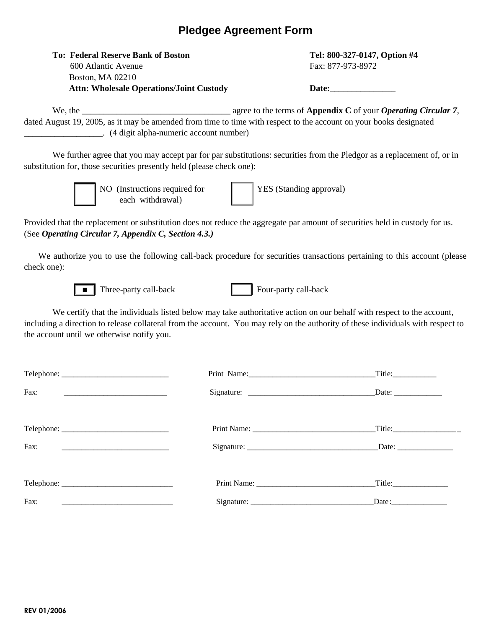## **Pledgee Agreement Form**

| <b>To: Federal Reserve Bank of Boston</b>       | Tel: 800-327-0147, Opti |
|-------------------------------------------------|-------------------------|
| 600 Atlantic Avenue                             | Fax: 877-973-8972       |
| <b>Boston, MA 02210</b>                         |                         |
| <b>Attn: Wholesale Operations/Joint Custody</b> | Date:                   |

 **To: Federal Reserve Bank of Boston Tel: 800-327-0147, Option #4** Fax: 877-973-8972

We, the **we** agree to the terms of **Appendix C** of your *Operating Circular 7*, dated August 19, 2005, as it may be amended from time to time with respect to the account on your books designated \_\_\_\_\_\_\_\_\_\_\_\_\_\_\_\_\_\_. (4 digit alpha-numeric account number)

We further agree that you may accept par for par substitutions: securities from the Pledgor as a replacement of, or in substitution for, those securities presently held (please check one):



NO (Instructions required for each withdrawal)

YES (Standing approval)

Provided that the replacement or substitution does not reduce the aggregate par amount of securities held in custody for us. (See *Operating Circular 7, Appendix C, Section 4.3.)*

We authorize you to use the following call-back procedure for securities transactions pertaining to this account (please check one):



Three-party call-back Four-party call-back

We certify that the individuals listed below may take authoritative action on our behalf with respect to the account, including a direction to release collateral from the account. You may rely on the authority of these individuals with respect to the account until we otherwise notify you.

|      | Title:                                                   |  |
|------|----------------------------------------------------------|--|
| Fax: | Date: $\frac{1}{\sqrt{1-\frac{1}{2}} \cdot \frac{1}{2}}$ |  |
|      |                                                          |  |
| Fax: |                                                          |  |
|      |                                                          |  |
| Fax: |                                                          |  |